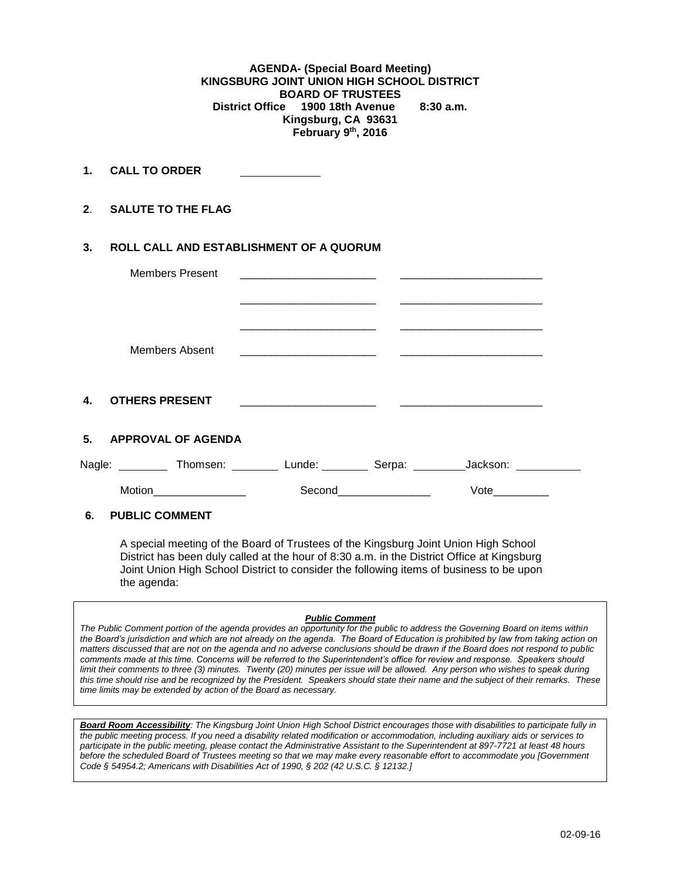**AGENDA- (Special Board Meeting) KINGSBURG JOINT UNION HIGH SCHOOL DISTRICT BOARD OF TRUSTEES District Office 1900 18th Avenue 8:30 a.m. Kingsburg, CA 93631 February 9th, 2016**

**1. CALL TO ORDER** 

**2**. **SALUTE TO THE FLAG**

# **3. ROLL CALL AND ESTABLISHMENT OF A QUORUM**

|              | <b>Members Present</b>              |                             |                        |  |
|--------------|-------------------------------------|-----------------------------|------------------------|--|
|              |                                     |                             |                        |  |
|              |                                     |                             |                        |  |
|              | Members Absent                      |                             |                        |  |
|              |                                     |                             |                        |  |
| $\mathbf{4}$ | <b>OTHERS PRESENT</b>               |                             |                        |  |
| 5.           | <b>APPROVAL OF AGENDA</b>           |                             |                        |  |
|              | Nagle: Thomsen: Lunde: Serpa: 1998. |                             | Jackson: <b>Market</b> |  |
|              | Motion <b>Motion</b>                | Second <b>Second Second</b> | <b>Vote Note</b>       |  |
|              |                                     |                             |                        |  |

### **6. PUBLIC COMMENT**

A special meeting of the Board of Trustees of the Kingsburg Joint Union High School District has been duly called at the hour of 8:30 a.m. in the District Office at Kingsburg Joint Union High School District to consider the following items of business to be upon the agenda:

#### *Public Comment*

*The Public Comment portion of the agenda provides an opportunity for the public to address the Governing Board on items within the Board's jurisdiction and which are not already on the agenda. The Board of Education is prohibited by law from taking action on matters discussed that are not on the agenda and no adverse conclusions should be drawn if the Board does not respond to public comments made at this time. Concerns will be referred to the Superintendent's office for review and response. Speakers should limit their comments to three (3) minutes. Twenty (20) minutes per issue will be allowed. Any person who wishes to speak during this time should rise and be recognized by the President. Speakers should state their name and the subject of their remarks. These time limits may be extended by action of the Board as necessary.*

*Board Room Accessibility: The Kingsburg Joint Union High School District encourages those with disabilities to participate fully in the public meeting process. If you need a disability related modification or accommodation, including auxiliary aids or services to participate in the public meeting, please contact the Administrative Assistant to the Superintendent at 897-7721 at least 48 hours before the scheduled Board of Trustees meeting so that we may make every reasonable effort to accommodate you [Government Code § 54954.2; Americans with Disabilities Act of 1990, § 202 (42 U.S.C. § 12132.]*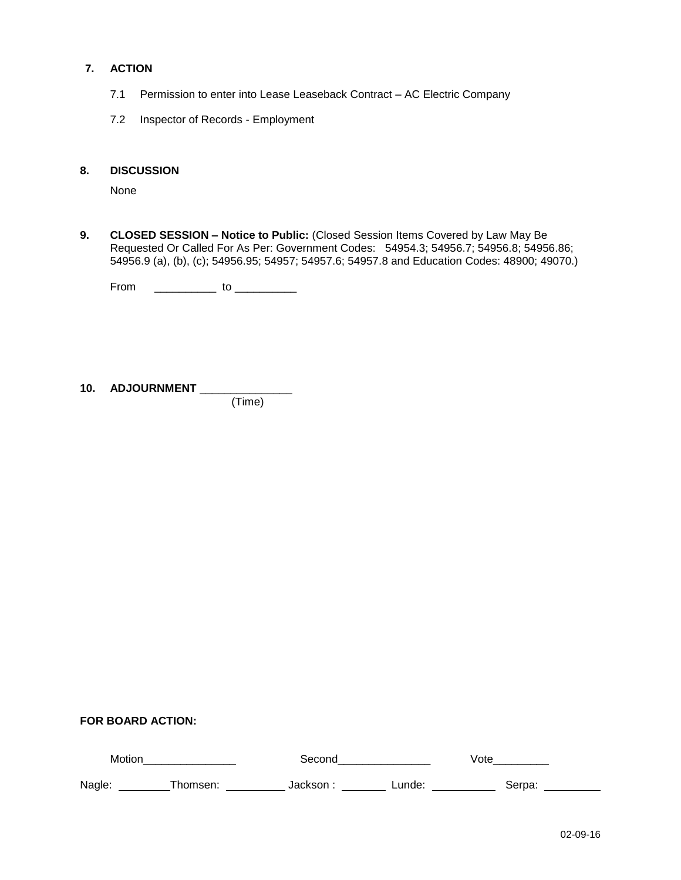# **7. ACTION**

- 7.1 Permission to enter into Lease Leaseback Contract AC Electric Company
- 7.2 Inspector of Records Employment

## **8. DISCUSSION**

None

**9. CLOSED SESSION – Notice to Public:** (Closed Session Items Covered by Law May Be Requested Or Called For As Per: Government Codes: 54954.3; 54956.7; 54956.8; 54956.86; 54956.9 (a), (b), (c); 54956.95; 54957; 54957.6; 54957.8 and Education Codes: 48900; 49070.)

From \_\_\_\_\_\_\_\_\_\_\_\_\_\_ to \_\_\_\_\_\_\_\_\_\_\_\_

**10. ADJOURNMENT** \_\_\_\_\_\_\_\_\_\_\_\_\_\_\_ (Time)

**FOR BOARD ACTION:**

| Motion |         | seconc   |        | Vote   |  |
|--------|---------|----------|--------|--------|--|
| Nagle: | homsen: | …lackson | Lunde: | 3erpa: |  |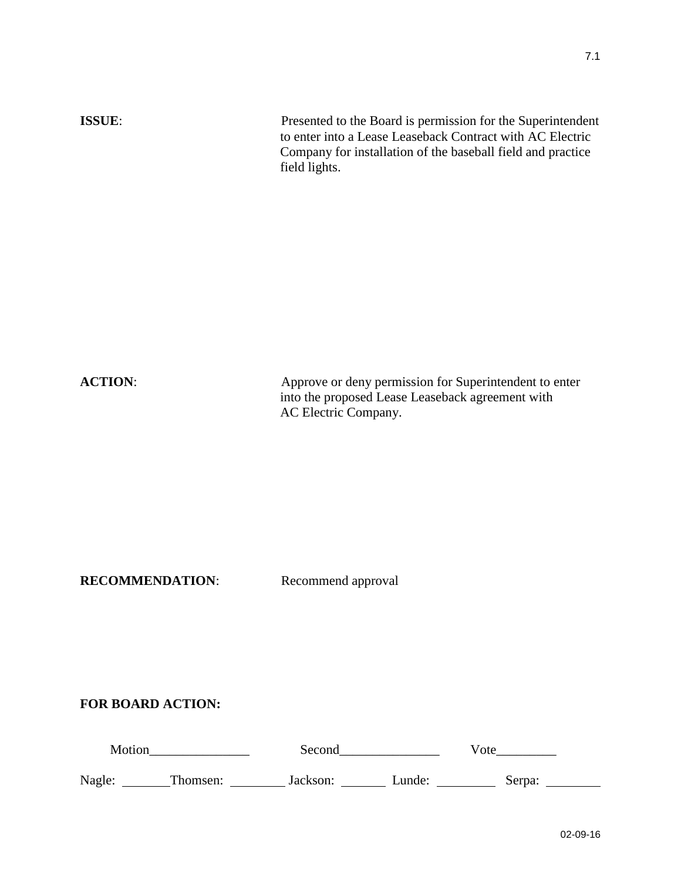| <b>ACTION:</b> | Approve or deny permission for Superintendent to enter<br>into the proposed Lease Leaseback agreement with<br>AC Electric Company. |
|----------------|------------------------------------------------------------------------------------------------------------------------------------|

**ISSUE**: Presented to the Board is permission for the Superintendent

field lights.

to enter into a Lease Leaseback Contract with AC Electric Company for installation of the baseball field and practice

**RECOMMENDATION:** Recommend approval

**FOR BOARD ACTION:**

| Motion |          | Second   |        | Vote   |  |
|--------|----------|----------|--------|--------|--|
| Nagle: | Thomsen: | Jackson: | Lunde: | Serpa: |  |